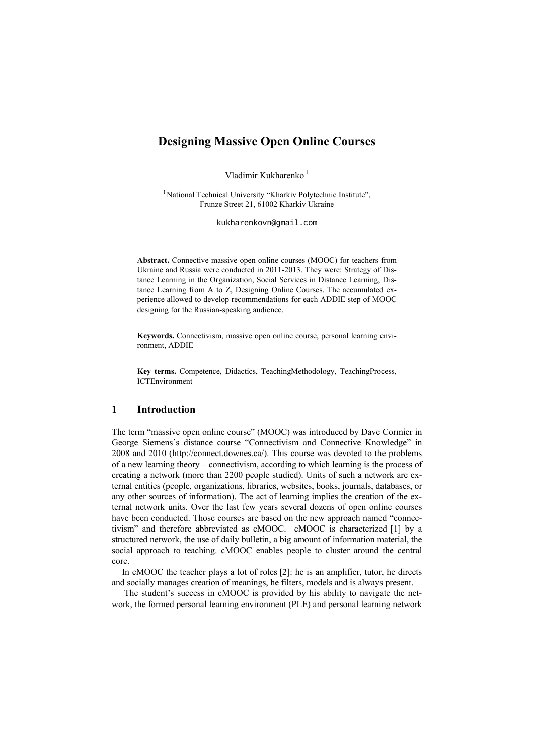# **Designing Massive Open Online Courses**

Vladimir Kukharenko<sup>1</sup>

<sup>1</sup>National Technical University "Kharkiv Polytechnic Institute", Frunze Street 21, 61002 Kharkiv Ukraine

kukharenkovn@gmail.com

**Abstract.** Connective massive open online courses (MOOC) for teachers from Ukraine and Russia were conducted in 2011-2013. They were: Strategy of Distance Learning in the Organization, Social Services in Distance Learning, Distance Learning from A to Z, Designing Online Courses. The accumulated experience allowed to develop recommendations for each ADDIE step of MOOC designing for the Russian-speaking audience.

**Keywords.** Connectivism, massive open online course, personal learning environment, ADDIE

**Key terms.** Competence, Didactics, TeachingMethodology, TeachingProcess, ICTEnvironment

### **1 Introduction**

The term "massive open online course" (MOOC) was introduced by Dave Cormier in George Siemens's distance course "Connectivism and Connective Knowledge" in 2008 and 2010 (http://connect.downes.ca/). This course was devoted to the problems of a new learning theory – connectivism, according to which learning is the process of creating a network (more than 2200 people studied). Units of such a network are external entities (people, organizations, libraries, websites, books, journals, databases, or any other sources of information). The act of learning implies the creation of the external network units. Over the last few years several dozens of open online courses have been conducted. Those courses are based on the new approach named "connectivism" and therefore abbreviated as cMOOC. cMOOC is characterized [1] by a structured network, the use of daily bulletin, a big amount of information material, the social approach to teaching. cMOOC enables people to cluster around the central core.

In cMOOC the teacher plays a lot of roles [2]: he is an amplifier, tutor, he directs and socially manages creation of meanings, he filters, models and is always present.

 The student's success in cMOOC is provided by his ability to navigate the network, the formed personal learning environment (PLE) and personal learning network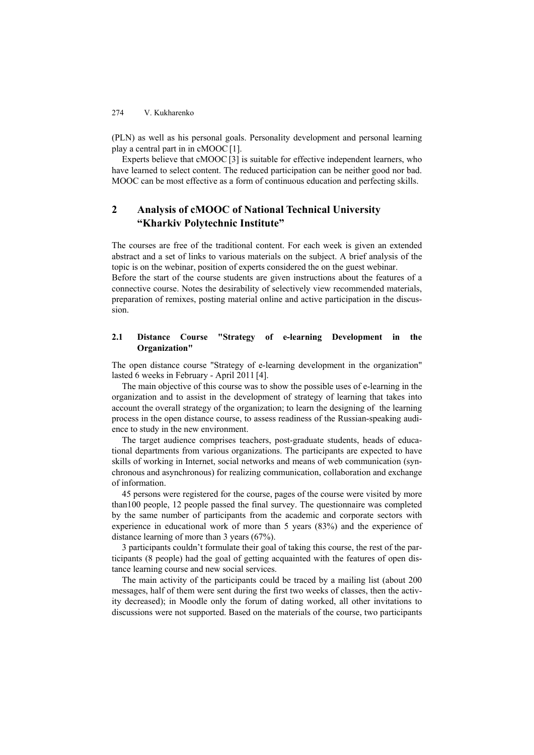(PLN) as well as his personal goals. Personality development and personal learning play a central part in in cMOOC[1].

Experts believe that cMOOC [3] is suitable for effective independent learners, who have learned to select content. The reduced participation can be neither good nor bad. MOOC can be most effective as a form of continuous education and perfecting skills.

## **2 Analysis of cMOOC of National Technical University "Kharkiv Polytechnic Institute"**

The courses are free of the traditional content. For each week is given an extended abstract and a set of links to various materials on the subject. A brief analysis of the topic is on the webinar, position of experts considered the on the guest webinar. Before the start of the course students are given instructions about the features of a connective course. Notes the desirability of selectively view recommended materials,

preparation of remixes, posting material online and active participation in the discussion.

### **2.1 Distance Course "Strategy of e-learning Development in the Organization"**

The open distance course "Strategy of e-learning development in the organization" lasted 6 weeks in February - April 2011 [4].

The main objective of this course was to show the possible uses of e-learning in the organization and to assist in the development of strategy of learning that takes into account the overall strategy of the organization; to learn the designing of the learning process in the open distance course, to assess readiness of the Russian-speaking audience to study in the new environment.

The target audience comprises teachers, post-graduate students, heads of educational departments from various organizations. The participants are expected to have skills of working in Internet, social networks and means of web communication (synchronous and asynchronous) for realizing communication, collaboration and exchange of information.

45 persons were registered for the course, pages of the course were visited by more than100 people, 12 people passed the final survey. The questionnaire was completed by the same number of participants from the academic and corporate sectors with experience in educational work of more than 5 years (83%) and the experience of distance learning of more than 3 years (67%).

3 participants couldn't formulate their goal of taking this course, the rest of the participants (8 people) had the goal of getting acquainted with the features of open distance learning course and new social services.

The main activity of the participants could be traced by a mailing list (about 200 messages, half of them were sent during the first two weeks of classes, then the activity decreased); in Moodle only the forum of dating worked, all other invitations to discussions were not supported. Based on the materials of the course, two participants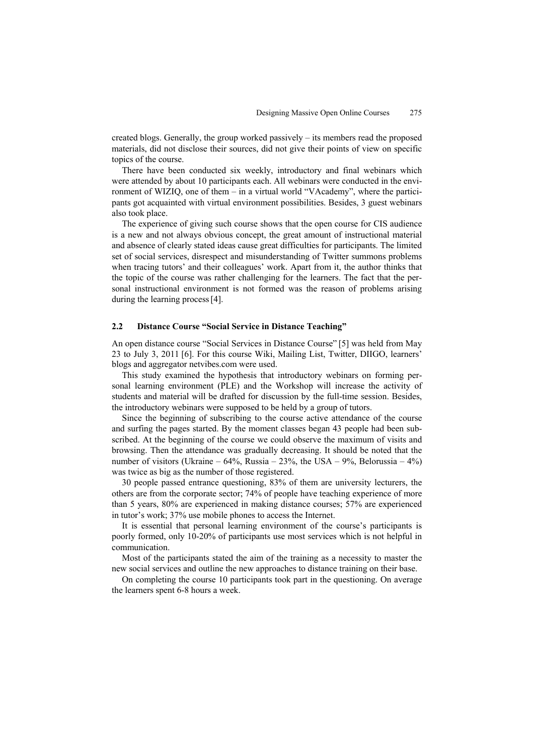created blogs. Generally, the group worked passively – its members read the proposed materials, did not disclose their sources, did not give their points of view on specific topics of the course.

There have been conducted six weekly, introductory and final webinars which were attended by about 10 participants each. All webinars were conducted in the environment of WIZIQ, one of them – in a virtual world "VAcademy", where the participants got acquainted with virtual environment possibilities. Besides, 3 guest webinars also took place.

The experience of giving such course shows that the open course for CIS audience is a new and not always obvious concept, the great amount of instructional material and absence of clearly stated ideas cause great difficulties for participants. The limited set of social services, disrespect and misunderstanding of Twitter summons problems when tracing tutors' and their colleagues' work. Apart from it, the author thinks that the topic of the course was rather challenging for the learners. The fact that the personal instructional environment is not formed was the reason of problems arising during the learning process [4].

#### **2.2 Distance Course "Social Service in Distance Teaching"**

An open distance course "Social Services in Distance Course" [5] was held from May 23 to July 3, 2011 [6]. For this course Wiki, Mailing List, Twitter, DIIGO, learners' blogs and aggregator netvibes.com were used.

This study examined the hypothesis that introductory webinars on forming personal learning environment (PLE) and the Workshop will increase the activity of students and material will be drafted for discussion by the full-time session. Besides, the introductory webinars were supposed to be held by a group of tutors.

Since the beginning of subscribing to the course active attendance of the course and surfing the pages started. By the moment classes began 43 people had been subscribed. At the beginning of the course we could observe the maximum of visits and browsing. Then the attendance was gradually decreasing. It should be noted that the number of visitors (Ukraine – 64%, Russia – 23%, the USA – 9%, Belorussia – 4%) was twice as big as the number of those registered.

30 people passed entrance questioning, 83% of them are university lecturers, the others are from the corporate sector; 74% of people have teaching experience of more than 5 years, 80% are experienced in making distance courses; 57% are experienced in tutor's work; 37% use mobile phones to access the Internet.

It is essential that personal learning environment of the course's participants is poorly formed, only 10-20% of participants use most services which is not helpful in communication.

Most of the participants stated the aim of the training as a necessity to master the new social services and outline the new approaches to distance training on their base.

On completing the course 10 participants took part in the questioning. On average the learners spent 6-8 hours a week.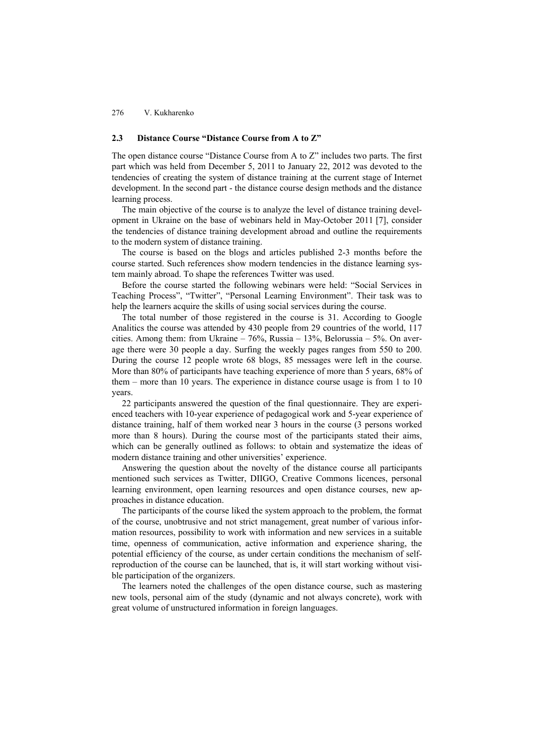### **2.3 Distance Course "Distance Course from A to Z"**

The open distance course "Distance Course from A to Z" includes two parts. The first part which was held from December 5, 2011 to January 22, 2012 was devoted to the tendencies of creating the system of distance training at the current stage of Internet development. In the second part - the distance course design methods and the distance learning process.

The main objective of the course is to analyze the level of distance training development in Ukraine on the base of webinars held in May-October 2011 [7], consider the tendencies of distance training development abroad and outline the requirements to the modern system of distance training.

The course is based on the blogs and articles published 2-3 months before the course started. Such references show modern tendencies in the distance learning system mainly abroad. To shape the references Twitter was used.

Before the course started the following webinars were held: "Social Services in Teaching Process", "Twitter", "Personal Learning Environment". Their task was to help the learners acquire the skills of using social services during the course.

The total number of those registered in the course is 31. According to Google Analitics the course was attended by 430 people from 29 countries of the world, 117 cities. Among them: from Ukraine – 76%, Russia – 13%, Belorussia – 5%. On average there were 30 people a day. Surfing the weekly pages ranges from 550 to 200. During the course 12 people wrote 68 blogs, 85 messages were left in the course. More than 80% of participants have teaching experience of more than 5 years, 68% of them – more than 10 years. The experience in distance course usage is from 1 to 10 years.

22 participants answered the question of the final questionnaire. They are experienced teachers with 10-year experience of pedagogical work and 5-year experience of distance training, half of them worked near 3 hours in the course (3 persons worked more than 8 hours). During the course most of the participants stated their aims, which can be generally outlined as follows: to obtain and systematize the ideas of modern distance training and other universities' experience.

Answering the question about the novelty of the distance course all participants mentioned such services as Twitter, DIIGO, Creative Commons licences, personal learning environment, open learning resources and open distance courses, new approaches in distance education.

The participants of the course liked the system approach to the problem, the format of the course, unobtrusive and not strict management, great number of various information resources, possibility to work with information and new services in a suitable time, openness of communication, active information and experience sharing, the potential efficiency of the course, as under certain conditions the mechanism of selfreproduction of the course can be launched, that is, it will start working without visible participation of the organizers.

The learners noted the challenges of the open distance course, such as mastering new tools, personal aim of the study (dynamic and not always concrete), work with great volume of unstructured information in foreign languages.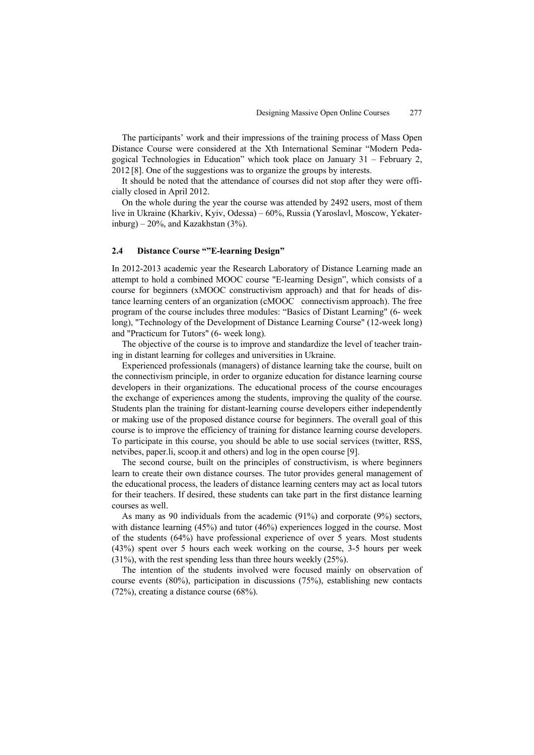The participants' work and their impressions of the training process of Mass Open Distance Course were considered at the Xth International Seminar "Modern Pedagogical Technologies in Education" which took place on January 31 – February 2, 2012 [8]. One of the suggestions was to organize the groups by interests.

It should be noted that the attendance of courses did not stop after they were officially closed in April 2012.

On the whole during the year the course was attended by 2492 users, most of them live in Ukraine (Kharkiv, Kyiv, Odessa) – 60%, Russia (Yaroslavl, Moscow, Yekaterinburg) –  $20\%$ , and Kazakhstan (3%).

#### **2.4 Distance Course ""E-learning Design"**

In 2012-2013 academic year the Research Laboratory of Distance Learning made an attempt to hold a combined MOOC course "E-learning Design", which consists of a course for beginners (xMOOC constructivism approach) and that for heads of distance learning centers of an organization (cMOOC connectivism approach). The free program of the course includes three modules: "Basics of Distant Learning" (6- week long), "Technology of the Development of Distance Learning Course" (12-week long) and "Practicum for Tutors" (6- week long).

The objective of the course is to improve and standardize the level of teacher training in distant learning for colleges and universities in Ukraine.

Experienced professionals (managers) of distance learning take the course, built on the connectivism principle, in order to organize education for distance learning course developers in their organizations. The educational process of the course encourages the exchange of experiences among the students, improving the quality of the course. Students plan the training for distant-learning course developers either independently or making use of the proposed distance course for beginners. The overall goal of this course is to improve the efficiency of training for distance learning course developers. To participate in this course, you should be able to use social services (twitter, RSS, netvibes, paper.li, scoop.it and others) and log in the open course [9].

The second course, built on the principles of constructivism, is where beginners learn to create their own distance courses. The tutor provides general management of the educational process, the leaders of distance learning centers may act as local tutors for their teachers. If desired, these students can take part in the first distance learning courses as well.

As many as 90 individuals from the academic (91%) and corporate (9%) sectors, with distance learning (45%) and tutor (46%) experiences logged in the course. Most of the students (64%) have professional experience of over 5 years. Most students (43%) spent over 5 hours each week working on the course, 3-5 hours per week (31%), with the rest spending less than three hours weekly (25%).

The intention of the students involved were focused mainly on observation of course events (80%), participation in discussions (75%), establishing new contacts (72%), creating a distance course (68%).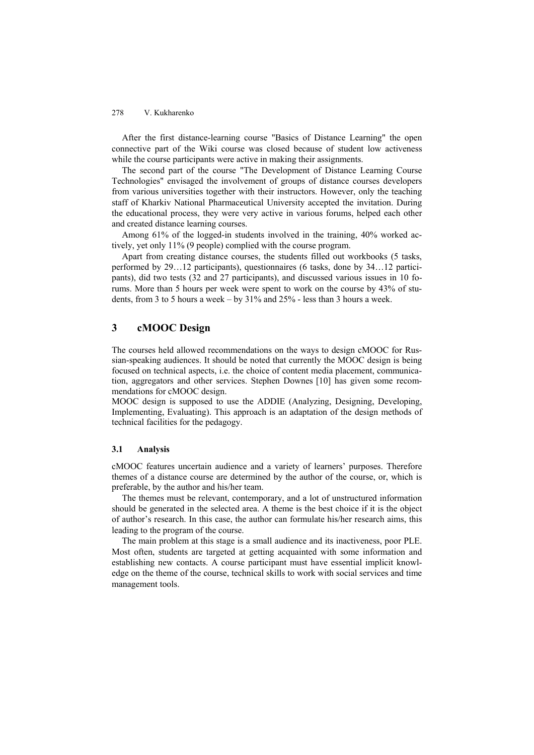After the first distance-learning course "Basics of Distance Learning" the open connective part of the Wiki course was closed because of student low activeness while the course participants were active in making their assignments.

The second part of the course "The Development of Distance Learning Course Technologies" envisaged the involvement of groups of distance courses developers from various universities together with their instructors. However, only the teaching staff of Kharkiv National Pharmaceutical University accepted the invitation. During the educational process, they were very active in various forums, helped each other and created distance learning courses.

Among 61% of the logged-in students involved in the training, 40% worked actively, yet only 11% (9 people) complied with the course program.

Apart from creating distance courses, the students filled out workbooks (5 tasks, performed by 29…12 participants), questionnaires (6 tasks, done by 34…12 participants), did two tests (32 and 27 participants), and discussed various issues in 10 forums. More than 5 hours per week were spent to work on the course by 43% of students, from 3 to 5 hours a week – by 31% and 25% - less than 3 hours a week.

### **3 cMOOC Design**

The courses held allowed recommendations on the ways to design cMOOC for Russian-speaking audiences. It should be noted that currently the MOOC design is being focused on technical aspects, i.e. the choice of content media placement, communication, aggregators and other services. Stephen Downes [10] has given some recommendations for cMOOC design.

MOOC design is supposed to use the ADDIE (Analyzing, Designing, Developing, Implementing, Evaluating). This approach is an adaptation of the design methods of technical facilities for the pedagogy.

### **3.1 Analysis**

cMOOC features uncertain audience and a variety of learners' purposes. Therefore themes of a distance course are determined by the author of the course, or, which is preferable, by the author and his/her team.

The themes must be relevant, contemporary, and a lot of unstructured information should be generated in the selected area. A theme is the best choice if it is the object of author's research. In this case, the author can formulate his/her research aims, this leading to the program of the course.

The main problem at this stage is a small audience and its inactiveness, poor PLE. Most often, students are targeted at getting acquainted with some information and establishing new contacts. A course participant must have essential implicit knowledge on the theme of the course, technical skills to work with social services and time management tools.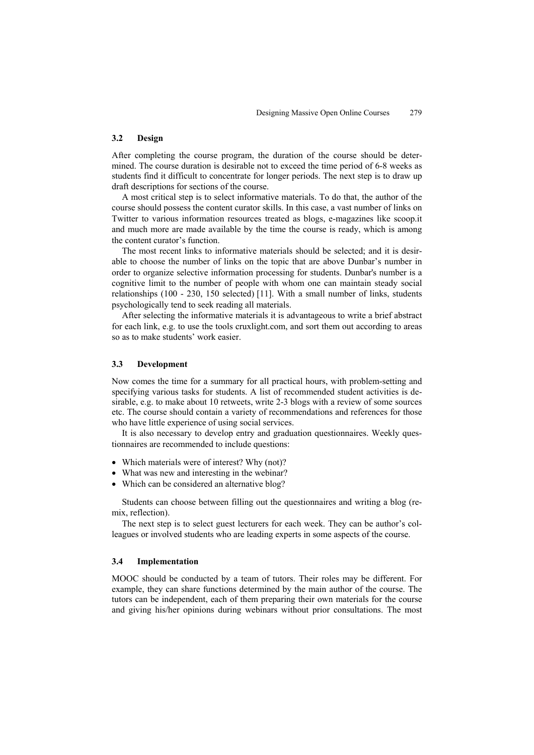#### **3.2 Design**

After completing the course program, the duration of the course should be determined. The course duration is desirable not to exceed the time period of 6-8 weeks as students find it difficult to concentrate for longer periods. The next step is to draw up draft descriptions for sections of the course.

A most critical step is to select informative materials. To do that, the author of the course should possess the content curator skills. In this case, a vast number of links on Twitter to various information resources treated as blogs, e-magazines like scoop.it and much more are made available by the time the course is ready, which is among the content curator's function.

The most recent links to informative materials should be selected; and it is desirable to choose the number of links on the topic that are above Dunbar's number in order to organize selective information processing for students. Dunbar's number is a cognitive limit to the number of people with whom one can maintain steady social relationships (100 - 230, 150 selected) [11]. With a small number of links, students psychologically tend to seek reading all materials.

After selecting the informative materials it is advantageous to write a brief abstract for each link, e.g. to use the tools cruxlight.com, and sort them out according to areas so as to make students' work easier.

#### **3.3 Development**

Now comes the time for a summary for all practical hours, with problem-setting and specifying various tasks for students. A list of recommended student activities is desirable, e.g. to make about 10 retweets, write 2-3 blogs with a review of some sources etc. The course should contain a variety of recommendations and references for those who have little experience of using social services.

It is also necessary to develop entry and graduation questionnaires. Weekly questionnaires are recommended to include questions:

- Which materials were of interest? Why (not)?
- What was new and interesting in the webinar?
- Which can be considered an alternative blog?

Students can choose between filling out the questionnaires and writing a blog (remix, reflection).

The next step is to select guest lecturers for each week. They can be author's colleagues or involved students who are leading experts in some aspects of the course.

#### **3.4 Implementation**

MOOC should be conducted by a team of tutors. Their roles may be different. For example, they can share functions determined by the main author of the course. The tutors can be independent, each of them preparing their own materials for the course and giving his/her opinions during webinars without prior consultations. The most